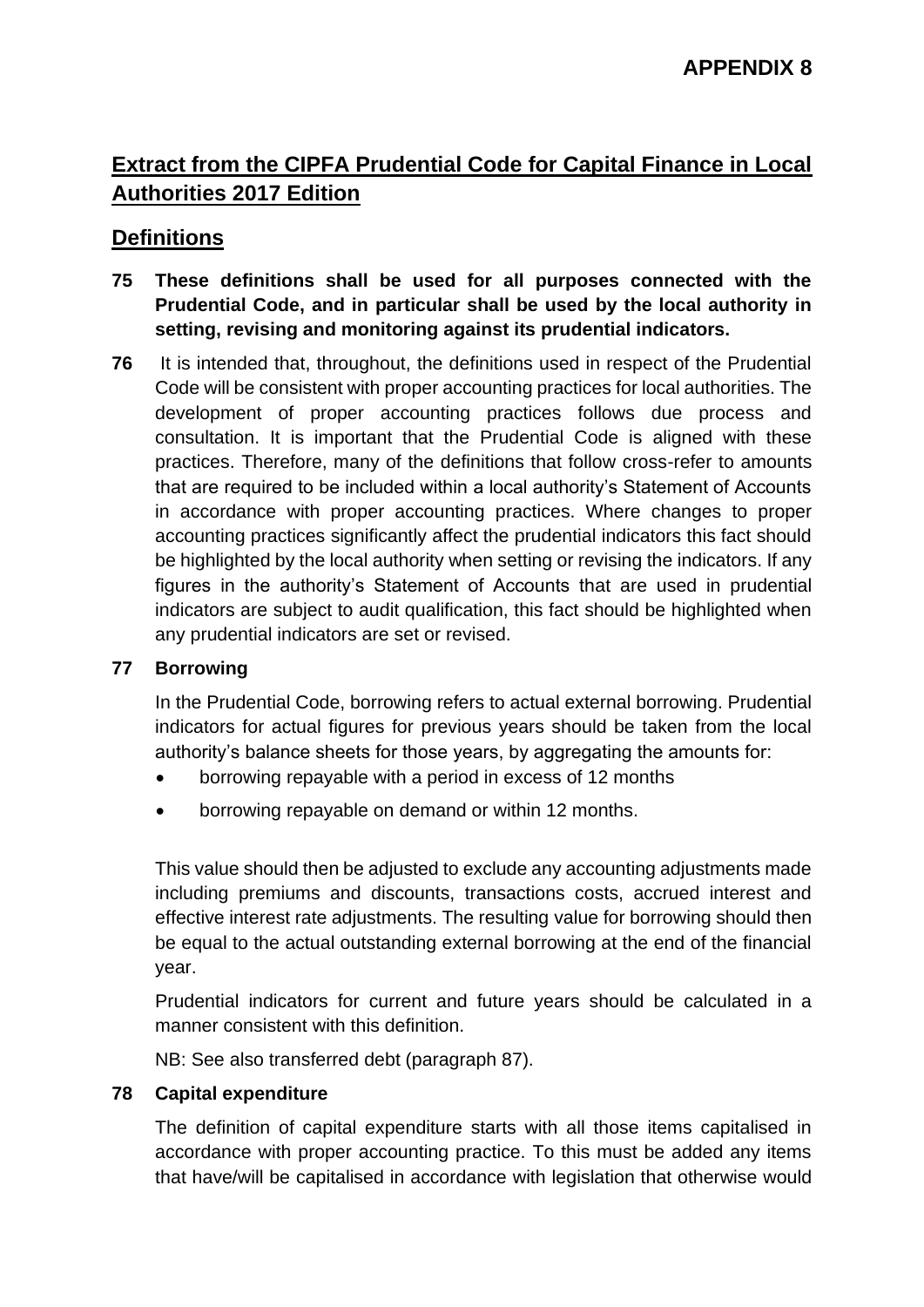# **Extract from the CIPFA Prudential Code for Capital Finance in Local Authorities 2017 Edition**

# **Definitions**

- **75 These definitions shall be used for all purposes connected with the Prudential Code, and in particular shall be used by the local authority in setting, revising and monitoring against its prudential indicators.**
- **76** It is intended that, throughout, the definitions used in respect of the Prudential Code will be consistent with proper accounting practices for local authorities. The development of proper accounting practices follows due process and consultation. It is important that the Prudential Code is aligned with these practices. Therefore, many of the definitions that follow cross-refer to amounts that are required to be included within a local authority's Statement of Accounts in accordance with proper accounting practices. Where changes to proper accounting practices significantly affect the prudential indicators this fact should be highlighted by the local authority when setting or revising the indicators. If any figures in the authority's Statement of Accounts that are used in prudential indicators are subject to audit qualification, this fact should be highlighted when any prudential indicators are set or revised.

# **77 Borrowing**

In the Prudential Code, borrowing refers to actual external borrowing. Prudential indicators for actual figures for previous years should be taken from the local authority's balance sheets for those years, by aggregating the amounts for:

- borrowing repayable with a period in excess of 12 months
- borrowing repayable on demand or within 12 months.

This value should then be adjusted to exclude any accounting adjustments made including premiums and discounts, transactions costs, accrued interest and effective interest rate adjustments. The resulting value for borrowing should then be equal to the actual outstanding external borrowing at the end of the financial year.

Prudential indicators for current and future years should be calculated in a manner consistent with this definition.

NB: See also transferred debt (paragraph 87).

# **78 Capital expenditure**

The definition of capital expenditure starts with all those items capitalised in accordance with proper accounting practice. To this must be added any items that have/will be capitalised in accordance with legislation that otherwise would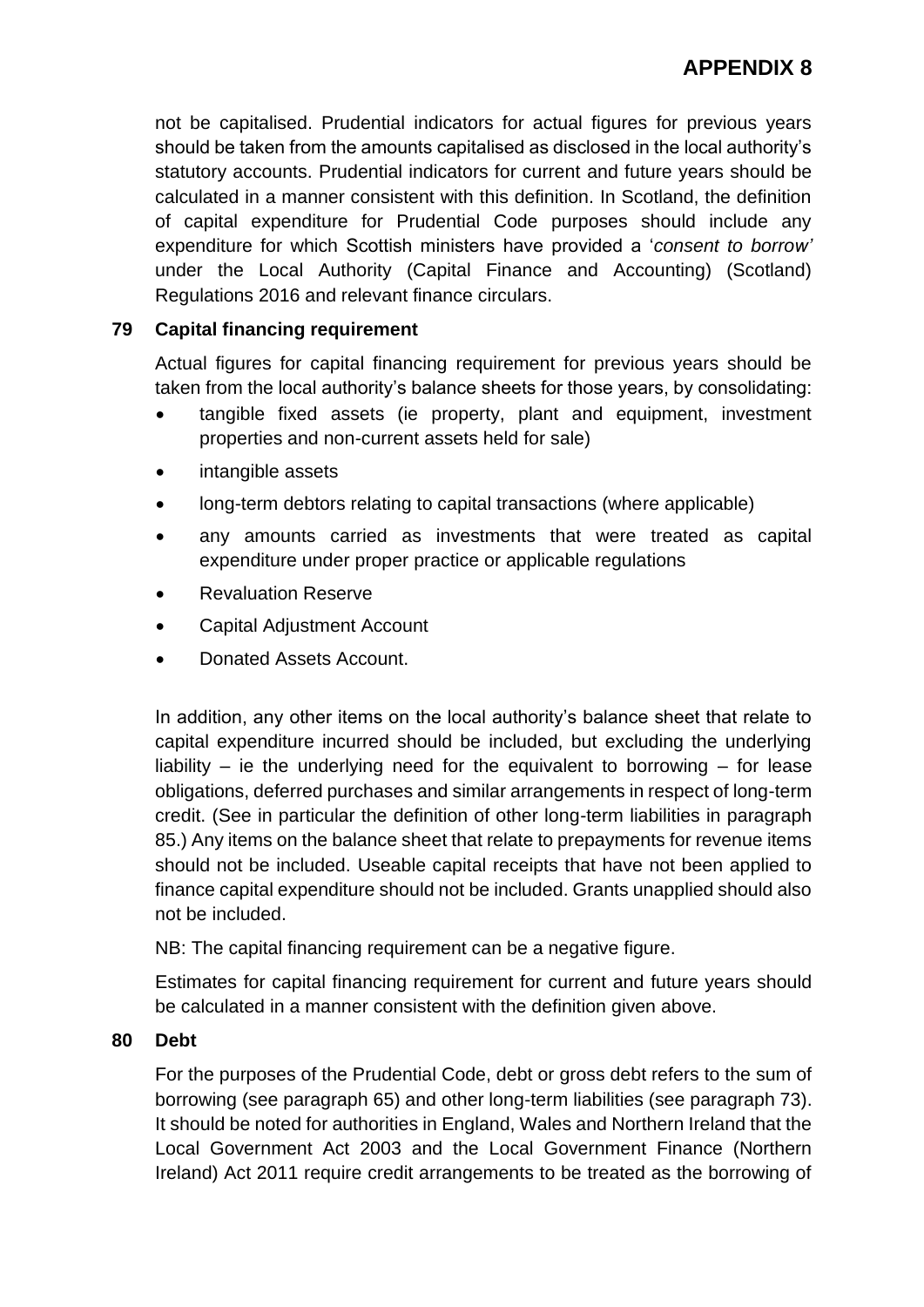not be capitalised. Prudential indicators for actual figures for previous years should be taken from the amounts capitalised as disclosed in the local authority's statutory accounts. Prudential indicators for current and future years should be calculated in a manner consistent with this definition. In Scotland, the definition of capital expenditure for Prudential Code purposes should include any expenditure for which Scottish ministers have provided a '*consent to borrow'*  under the Local Authority (Capital Finance and Accounting) (Scotland) Regulations 2016 and relevant finance circulars.

# **79 Capital financing requirement**

Actual figures for capital financing requirement for previous years should be taken from the local authority's balance sheets for those years, by consolidating:

- tangible fixed assets (ie property, plant and equipment, investment properties and non-current assets held for sale)
- intangible assets
- long-term debtors relating to capital transactions (where applicable)
- any amounts carried as investments that were treated as capital expenditure under proper practice or applicable regulations
- Revaluation Reserve
- Capital Adjustment Account
- Donated Assets Account.

In addition, any other items on the local authority's balance sheet that relate to capital expenditure incurred should be included, but excluding the underlying liability – ie the underlying need for the equivalent to borrowing – for lease obligations, deferred purchases and similar arrangements in respect of long-term credit. (See in particular the definition of other long-term liabilities in paragraph 85.) Any items on the balance sheet that relate to prepayments for revenue items should not be included. Useable capital receipts that have not been applied to finance capital expenditure should not be included. Grants unapplied should also not be included.

NB: The capital financing requirement can be a negative figure.

Estimates for capital financing requirement for current and future years should be calculated in a manner consistent with the definition given above.

# **80 Debt**

For the purposes of the Prudential Code, debt or gross debt refers to the sum of borrowing (see paragraph 65) and other long-term liabilities (see paragraph 73). It should be noted for authorities in England, Wales and Northern Ireland that the Local Government Act 2003 and the Local Government Finance (Northern Ireland) Act 2011 require credit arrangements to be treated as the borrowing of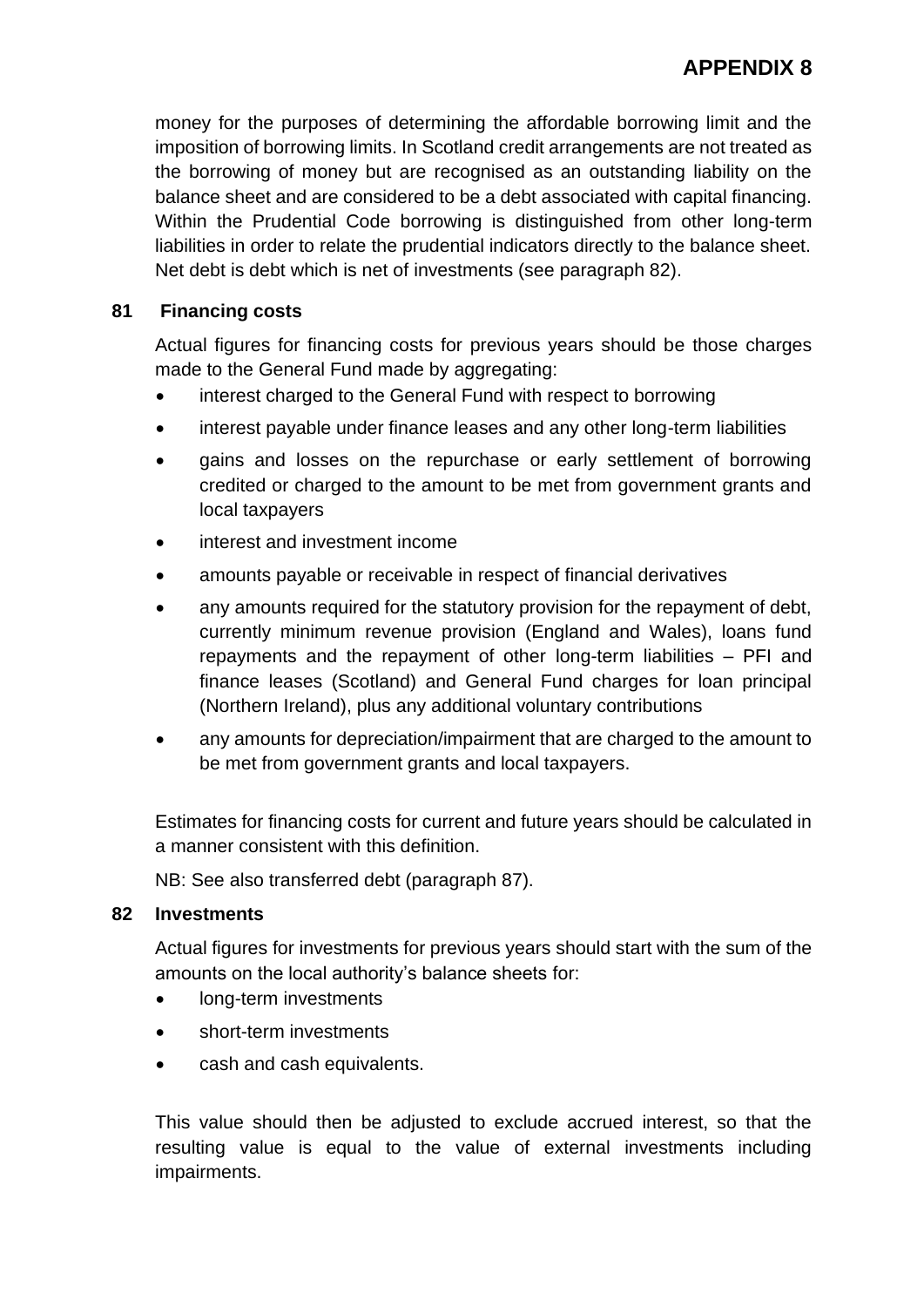money for the purposes of determining the affordable borrowing limit and the imposition of borrowing limits. In Scotland credit arrangements are not treated as the borrowing of money but are recognised as an outstanding liability on the balance sheet and are considered to be a debt associated with capital financing. Within the Prudential Code borrowing is distinguished from other long-term liabilities in order to relate the prudential indicators directly to the balance sheet. Net debt is debt which is net of investments (see paragraph 82).

# **81 Financing costs**

Actual figures for financing costs for previous years should be those charges made to the General Fund made by aggregating:

- interest charged to the General Fund with respect to borrowing
- interest payable under finance leases and any other long-term liabilities
- gains and losses on the repurchase or early settlement of borrowing credited or charged to the amount to be met from government grants and local taxpayers
- interest and investment income
- amounts payable or receivable in respect of financial derivatives
- any amounts required for the statutory provision for the repayment of debt, currently minimum revenue provision (England and Wales), loans fund repayments and the repayment of other long-term liabilities – PFI and finance leases (Scotland) and General Fund charges for loan principal (Northern Ireland), plus any additional voluntary contributions
- any amounts for depreciation/impairment that are charged to the amount to be met from government grants and local taxpayers.

Estimates for financing costs for current and future years should be calculated in a manner consistent with this definition.

NB: See also transferred debt (paragraph 87).

# **82 Investments**

Actual figures for investments for previous years should start with the sum of the amounts on the local authority's balance sheets for:

- long-term investments
- short-term investments
- cash and cash equivalents.

This value should then be adjusted to exclude accrued interest, so that the resulting value is equal to the value of external investments including impairments.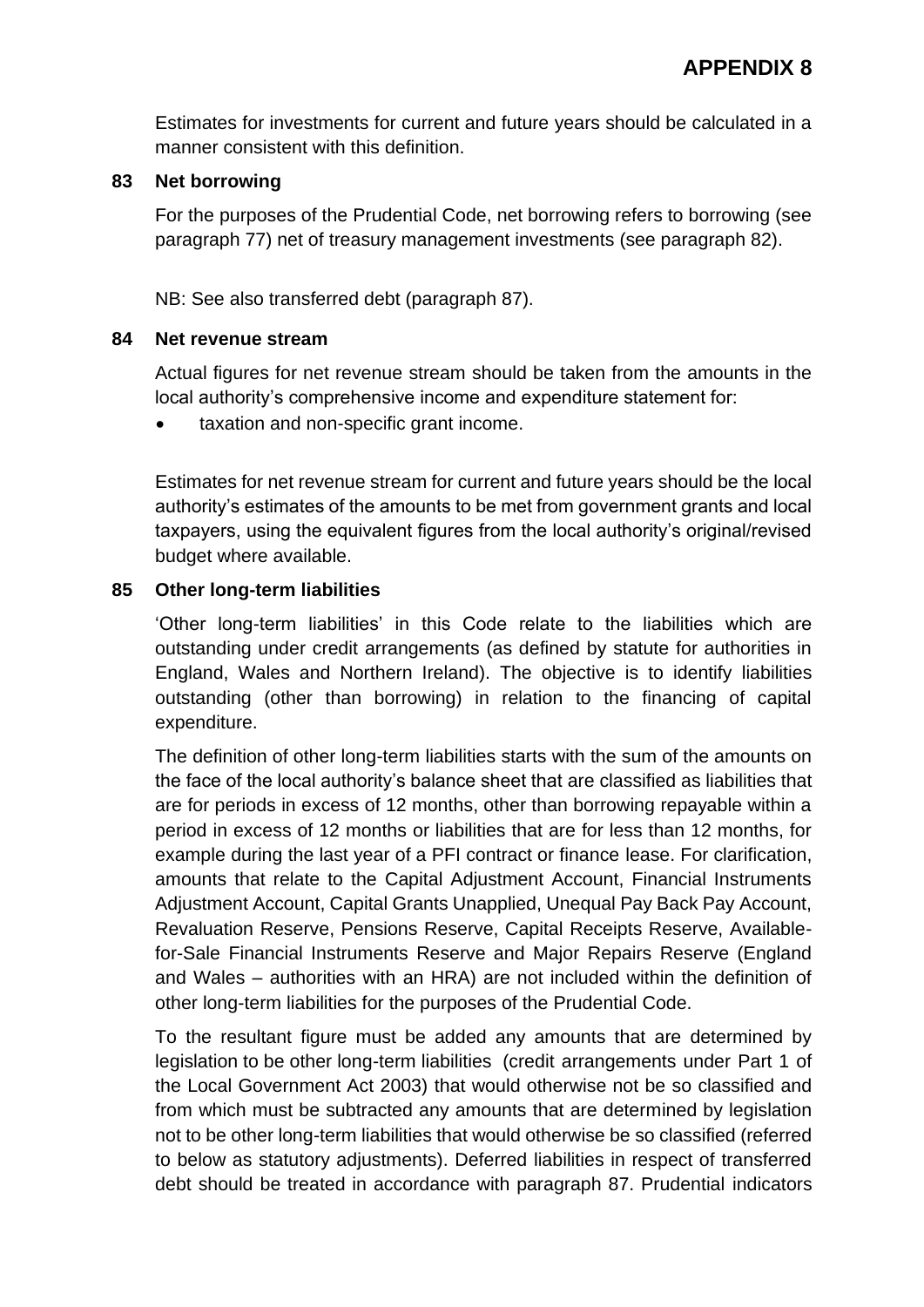Estimates for investments for current and future years should be calculated in a manner consistent with this definition.

#### **83 Net borrowing**

For the purposes of the Prudential Code, net borrowing refers to borrowing (see paragraph 77) net of treasury management investments (see paragraph 82).

NB: See also transferred debt (paragraph 87).

#### **84 Net revenue stream**

Actual figures for net revenue stream should be taken from the amounts in the local authority's comprehensive income and expenditure statement for:

taxation and non-specific grant income.

Estimates for net revenue stream for current and future years should be the local authority's estimates of the amounts to be met from government grants and local taxpayers, using the equivalent figures from the local authority's original/revised budget where available.

#### **85 Other long-term liabilities**

'Other long-term liabilities' in this Code relate to the liabilities which are outstanding under credit arrangements (as defined by statute for authorities in England, Wales and Northern Ireland). The objective is to identify liabilities outstanding (other than borrowing) in relation to the financing of capital expenditure.

The definition of other long-term liabilities starts with the sum of the amounts on the face of the local authority's balance sheet that are classified as liabilities that are for periods in excess of 12 months, other than borrowing repayable within a period in excess of 12 months or liabilities that are for less than 12 months, for example during the last year of a PFI contract or finance lease. For clarification, amounts that relate to the Capital Adjustment Account, Financial Instruments Adjustment Account, Capital Grants Unapplied, Unequal Pay Back Pay Account, Revaluation Reserve, Pensions Reserve, Capital Receipts Reserve, Availablefor-Sale Financial Instruments Reserve and Major Repairs Reserve (England and Wales – authorities with an HRA) are not included within the definition of other long-term liabilities for the purposes of the Prudential Code.

To the resultant figure must be added any amounts that are determined by legislation to be other long-term liabilities (credit arrangements under Part 1 of the Local Government Act 2003) that would otherwise not be so classified and from which must be subtracted any amounts that are determined by legislation not to be other long-term liabilities that would otherwise be so classified (referred to below as statutory adjustments). Deferred liabilities in respect of transferred debt should be treated in accordance with paragraph 87. Prudential indicators